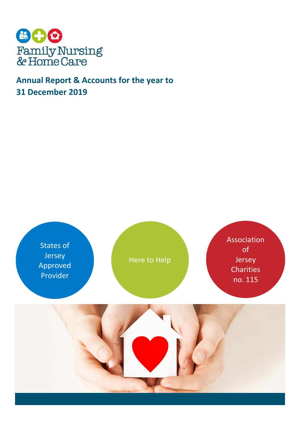

# **Annual Report & Accounts for the year to 31 December 2019**

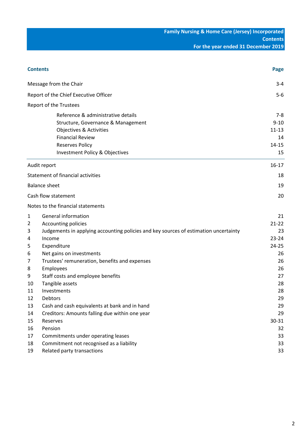| <b>Contents</b> |                                                                                                                                                                                            | Page                                                      |
|-----------------|--------------------------------------------------------------------------------------------------------------------------------------------------------------------------------------------|-----------------------------------------------------------|
|                 | Message from the Chair                                                                                                                                                                     | $3 - 4$                                                   |
|                 | Report of the Chief Executive Officer                                                                                                                                                      | $5-6$                                                     |
|                 | Report of the Trustees                                                                                                                                                                     |                                                           |
|                 | Reference & administrative details<br>Structure, Governance & Management<br>Objectives & Activities<br><b>Financial Review</b><br><b>Reserves Policy</b><br>Investment Policy & Objectives | $7 - 8$<br>$9 - 10$<br>$11 - 13$<br>14<br>$14 - 15$<br>15 |
|                 | Audit report                                                                                                                                                                               | $16-17$                                                   |
|                 | Statement of financial activities                                                                                                                                                          | 18                                                        |
|                 | <b>Balance sheet</b>                                                                                                                                                                       | 19                                                        |
|                 | Cash flow statement                                                                                                                                                                        | 20                                                        |
|                 | Notes to the financial statements                                                                                                                                                          |                                                           |
| 1<br>2<br>3     | General information<br>Accounting policies<br>Judgements in applying accounting policies and key sources of estimation uncertainty                                                         | 21<br>$21 - 22$<br>23                                     |
| 4<br>5          | Income<br>Expenditure                                                                                                                                                                      | $23 - 24$<br>$24 - 25$                                    |
| 6<br>7<br>8     | Net gains on investments<br>Trustees' remuneration, benefits and expenses<br>Employees                                                                                                     | 26<br>26<br>26                                            |
| 9<br>10         | Staff costs and employee benefits<br>Tangible assets                                                                                                                                       | 27<br>28                                                  |
| 11<br>12<br>13  | Investments<br>Debtors<br>Cash and cash equivalents at bank and in hand                                                                                                                    | 28<br>29<br>29                                            |
| 14<br>15        | Creditors: Amounts falling due within one year<br>Reserves                                                                                                                                 | 29<br>30-31                                               |
| 16<br>17        | Pension<br>Commitments under operating leases                                                                                                                                              | 32<br>33                                                  |
| 18<br>19        | Commitment not recognised as a liability<br>Related party transactions                                                                                                                     | 33<br>33                                                  |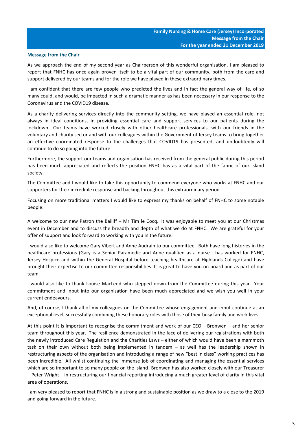### **Message from the Chair**

As we approach the end of my second year as Chairperson of this wonderful organisation, I am pleased to report that FNHC has once again proven itself to be a vital part of our community, both from the care and support delivered by our teams and for the role we have played in these extraordinary times.

I am confident that there are few people who predicted the lives and in fact the general way of life, of so many could, and would, be impacted in such a dramatic manner as has been necessary in our response to the Coronavirus and the COVID19 disease.

As a charity delivering services directly into the community setting, we have played an essential role, not always in ideal conditions, in providing essential care and support services to our patients during the lockdown. Our teams have worked closely with other healthcare professionals, with our friends in the voluntary and charity sector and with our colleagues within the Government of Jersey teams to bring together an effective coordinated response to the challenges that COVID19 has presented, and undoubtedly will continue to do so going into the future

Furthermore, the support our teams and organisation has received from the general public during this period has been much appreciated and reflects the position FNHC has as a vital part of the fabric of our island society.

The Committee and I would like to take this opportunity to commend everyone who works at FNHC and our supporters for their incredible response and backing throughout this extraordinary period.

Focusing on more traditional matters I would like to express my thanks on behalf of FNHC to some notable people:

A welcome to our new Patron the Bailiff – Mr Tim le Cocq. It was enjoyable to meet you at our Christmas event in December and to discuss the breadth and depth of what we do at FNHC. We are grateful for your offer of support and look forward to working with you in the future.

I would also like to welcome Gary Vibert and Anne Audrain to our committee. Both have long histories in the healthcare professions (Gary is a Senior Paramedic and Anne qualified as a nurse - has worked for FNHC, Jersey Hospice and within the General Hospital before teaching healthcare at Highlands College) and have brought their expertise to our committee responsibilities. It is great to have you on board and as part of our team.

I would also like to thank Louise MacLeod who stepped down from the Committee during this year. Your commitment and input into our organisation have been much appreciated and we wish you well in your current endeavours.

And, of course, I thank all of my colleagues on the Committee whose engagement and input continue at an exceptional level, successfully combining these honorary roles with those of their busy family and work lives.

At this point it is important to recognise the commitment and work of our CEO – Bronwen – and her senior team throughout this year. The resilience demonstrated in the face of delivering our registrations with both the newly introduced Care Regulation and the Charities Laws – either of which would have been a mammoth task on their own without both being implemented in tandem – as well has the leadership shown in restructuring aspects of the organisation and introducing a range of new "best in class" working practices has been incredible. All whilst continuing the immense job of coordinating and managing the essential services which are so important to so many people on the island! Bronwen has also worked closely with our Treasurer – Peter Wright – in restructuring our financial reporting introducing a much greater level of clarity in this vital area of operations.

I am very pleased to report that FNHC is in a strong and sustainable position as we draw to a close to the 2019 and going forward in the future.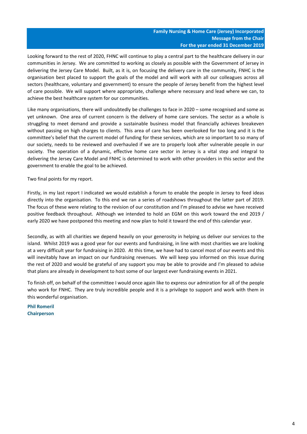Looking forward to the rest of 2020, FHNC will continue to play a central part to the healthcare delivery in our communities in Jersey. We are committed to working as closely as possible with the Government of Jersey in delivering the Jersey Care Model. Built, as it is, on focusing the delivery care in the community, FNHC is the organisation best placed to support the goals of the model and will work with all our colleagues across all sectors (healthcare, voluntary and government) to ensure the people of Jersey benefit from the highest level of care possible. We will support where appropriate, challenge where necessary and lead where we can, to achieve the best healthcare system for our communities.

Like many organisations, there will undoubtedly be challenges to face in 2020 – some recognised and some as yet unknown. One area of current concern is the delivery of home care services. The sector as a whole is struggling to meet demand and provide a sustainable business model that financially achieves breakeven without passing on high charges to clients. This area of care has been overlooked for too long and it is the committee's belief that the current model of funding for these services, which are so important to so many of our society, needs to be reviewed and overhauled if we are to properly look after vulnerable people in our society. The operation of a dynamic, effective home care sector in Jersey is a vital step and integral to delivering the Jersey Care Model and FNHC is determined to work with other providers in this sector and the government to enable the goal to be achieved.

Two final points for my report.

Firstly, in my last report I indicated we would establish a forum to enable the people in Jersey to feed ideas directly into the organisation. To this end we ran a series of roadshows throughout the latter part of 2019. The focus of these were relating to the revision of our constitution and I'm pleased to advise we have received positive feedback throughout. Although we intended to hold an EGM on this work toward the end 2019 / early 2020 we have postponed this meeting and now plan to hold it toward the end of this calendar year.

Secondly, as with all charities we depend heavily on your generosity in helping us deliver our services to the island. Whilst 2019 was a good year for our events and fundraising, in line with most charities we are looking at a very difficult year for fundraising in 2020. At this time, we have had to cancel most of our events and this will inevitably have an impact on our fundraising revenues. We will keep you informed on this issue during the rest of 2020 and would be grateful of any support you may be able to provide and I'm pleased to advise that plans are already in development to host some of our largest ever fundraising events in 2021.

To finish off, on behalf of the committee I would once again like to express our admiration for all of the people who work for FNHC. They are truly incredible people and it is a privilege to support and work with them in this wonderful organisation.

**Phil Romeril Chairperson**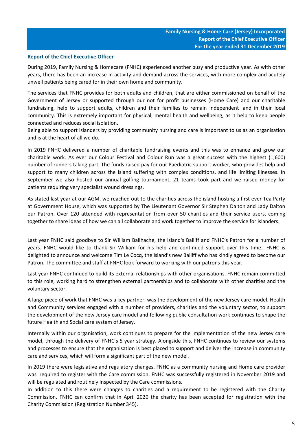# **Report of the Chief Executive Officer**

During 2019, Family Nursing & Homecare (FNHC) experienced another busy and productive year. As with other years, there has been an increase in activity and demand across the services, with more complex and acutely unwell patients being cared for in their own home and community.

The services that FNHC provides for both adults and children, that are either commissioned on behalf of the Government of Jersey or supported through our not for profit businesses (Home Care) and our charitable fundraising, help to support adults, children and their families to remain independent and in their local community. This is extremely important for physical, mental health and wellbeing, as it help to keep people connected and reduces social isolation.

Being able to support islanders by providing community nursing and care is important to us as an organisation and is at the heart of all we do.

In 2019 FNHC delivered a number of charitable fundraising events and this was to enhance and grow our charitable work. As ever our Colour Festival and Colour Run was a great success with the highest (1,600) number of runners taking part. The funds raised pay for our Paediatric support worker, who provides help and support to many children across the island suffering with complex conditions, and life limiting illnesses. In September we also hosted our annual golfing tournament, 21 teams took part and we raised money for patients requiring very specialist wound dressings.

As stated last year at our AGM, we reached out to the charities across the island hosting a first ever Tea Party at Government House, which was supported by The Lieutenant Governor Sir Stephen Dalton and Lady Dalton our Patron. Over 120 attended with representation from over 50 charities and their service users, coming together to share ideas of how we can all collaborate and work together to improve the service for islanders.

Last year FNHC said goodbye to Sir William Bailhache, the island's Bailiff and FNHC's Patron for a number of years. FNHC would like to thank Sir William for his help and continued support over this time. FNHC is delighted to announce and welcome Tim Le Cocq, the island's new Bailiff who has kindly agreed to become our Patron. The committee and staff at FNHC look forward to working with our patrons this year.

Last year FNHC continued to build its external relationships with other organisations. FNHC remain committed to this role, working hard to strengthen external partnerships and to collaborate with other charities and the voluntary sector.

A large piece of work that FNHC was a key partner, was the development of the new Jersey care model. Health and Community services engaged with a number of providers, charities and the voluntary sector, to support the development of the new Jersey care model and following public consultation work continues to shape the future Health and Social care system of Jersey.

Internally within our organisation, work continues to prepare for the implementation of the new Jersey care model, through the delivery of FNHC's 5 year strategy. Alongside this, FNHC continues to review our systems and processes to ensure that the organisation is best placed to support and deliver the increase in community care and services, which will form a significant part of the new model.

In 2019 there were legislative and regulatory changes. FNHC as a community nursing and Home care provider was required to register with the Care commission. FNHC was successfully registered in November 2019 and will be regulated and routinely inspected by the Care commissions.

In addition to this there were changes to charities and a requirement to be registered with the Charity Commission. FNHC can confirm that in April 2020 the charity has been accepted for registration with the Charity Commission (Registration Number 345).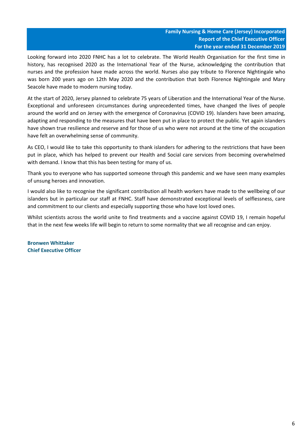Looking forward into 2020 FNHC has a lot to celebrate. The World Health Organisation for the first time in history, has recognised 2020 as the International Year of the Nurse, acknowledging the contribution that nurses and the profession have made across the world. Nurses also pay tribute to Florence Nightingale who was born 200 years ago on 12th May 2020 and the contribution that both Florence Nightingale and Mary Seacole have made to modern nursing today.

At the start of 2020, Jersey planned to celebrate 75 years of Liberation and the International Year of the Nurse. Exceptional and unforeseen circumstances during unprecedented times, have changed the lives of people around the world and on Jersey with the emergence of Coronavirus (COVID 19). Islanders have been amazing, adapting and responding to the measures that have been put in place to protect the public. Yet again islanders have shown true resilience and reserve and for those of us who were not around at the time of the occupation have felt an overwhelming sense of community.

As CEO, I would like to take this opportunity to thank islanders for adhering to the restrictions that have been put in place, which has helped to prevent our Health and Social care services from becoming overwhelmed with demand. I know that this has been testing for many of us.

Thank you to everyone who has supported someone through this pandemic and we have seen many examples of unsung heroes and innovation.

I would also like to recognise the significant contribution all health workers have made to the wellbeing of our islanders but in particular our staff at FNHC. Staff have demonstrated exceptional levels of selflessness, care and commitment to our clients and especially supporting those who have lost loved ones.

Whilst scientists across the world unite to find treatments and a vaccine against COVID 19, I remain hopeful that in the next few weeks life will begin to return to some normality that we all recognise and can enjoy.

**Bronwen Whittaker Chief Executive Officer**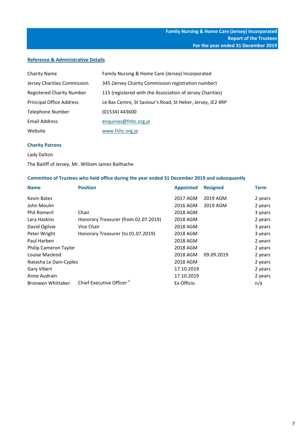# **Reference & Administrative Details**

| <b>Charity Name</b>              | Family Nursing & Home Care (Jersey) Incorporated             |
|----------------------------------|--------------------------------------------------------------|
| Jersey Charities Commission      | 345 (Jersey Charity Commission registration number)          |
| <b>Registered Charity Number</b> | 115 (registered with the Association of Jersey Charities)    |
| <b>Principal Office Address</b>  | Le Bas Centre, St Saviour's Road, St Helier, Jersey, JE2 4RP |
| <b>Telephone Number</b>          | (01534) 443600                                               |
| Email Address                    | enquiries@fnhc.org.je                                        |
| Website                          | www.fnhc.org.je                                              |

# **Charity Patrons**

Lady Dalton

# The Bailiff of Jersey, Mr. William James Bailhache

# **Committee of Trustees who held office during the year ended 31 December 2019 and subsequently**

| <b>Name</b>              | <b>Position</b>                      | <b>Appointed</b> | <b>Resigned</b> | <b>Term</b> |
|--------------------------|--------------------------------------|------------------|-----------------|-------------|
| <b>Kevin Bates</b>       |                                      | 2017 AGM         | 2019 AGM        | 2 years     |
| John Moulin              |                                      | 2016 AGM         | 2019 AGM        | 2 years     |
| <b>Phil Romeril</b>      | Chair                                | 2018 AGM         |                 | 3 years     |
| Lara Haskins             | Honorary Treasurer (from 02.07.2019) | 2018 AGM         |                 | 2 years     |
| David Ogilvie            | Vice Chair                           | 2018 AGM         |                 | 3 years     |
| Peter Wright             | Honorary Treasurer (to 01.07.2019)   | 2018 AGM         |                 | 3 years     |
| Paul Harben              |                                      | 2018 AGM         |                 | 2 years     |
| Philip Cameron Taylor    |                                      | 2018 AGM         |                 | 2 years     |
| Louise Macleod           |                                      | 2018 AGM         | 09.09.2019      | 2 years     |
| Natasha Le Dain-Cyples   |                                      | 2018 AGM         |                 | 2 years     |
| Gary Vibert              |                                      | 17.10.2019       |                 | 2 years     |
| Anne Audrain             |                                      | 17.10.2019       |                 | 2 years     |
| <b>Bronwen Whittaker</b> | Chief Executive Officer <sup>a</sup> | Ex Officio       |                 | n/a         |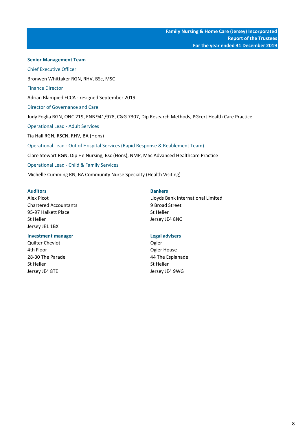**Senior Management Team** Chief Executive Officer Bronwen Whittaker RGN, RHV, BSc, MSC Finance Director Adrian Blampied FCCA - resigned September 2019 Judy Foglia RGN, ONC 219, ENB 941/978, C&G 7307, Dip Research Methods, PGcert Health Care Practice Operational Lead - Adult Services Tia Hall RGN, RSCN, RHV, BA (Hons) Operational Lead - Out of Hospital Services (Rapid Response & Reablement Team) Clare Stewart RGN, Dip He Nursing, Bsc (Hons), NMP, MSc Advanced Healthcare Practice Operational Lead - Child & Family Services Michelle Cumming RN, BA Community Nurse Specialty (Health Visiting) Director of Governance and Care

# **Auditors Bankers**

Chartered Accountants 9 Broad Street 95-97 Halkett Place States and States States States States States States States States States States States States States States States States States States States States States States States States States States States St St Helier Jersey JE4 8NG Jersey JE1 1BX

# **Investment manager Legal advisers**

Quilter Cheviot **Ogier** Cheviot **Ogier** Ogier Ath Floor Contract Contract Contract Contract Contract Contract Contract Contract Contract Contract Contract Contract Contract Contract Contract Contract Contract Contract Contract Contract Contract Contract Contract Contr 28-30 The Parade 28-30 The Parade 44 The Esplanade St Helier St Helier St Helier Jersey JE4 8TE Jersey JE4 9WG

Alex Picot **Alex Picot Limited Lloyds Bank International Limited**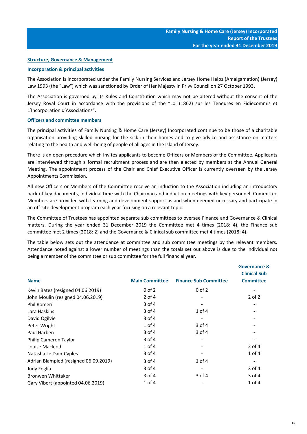# **Structure, Governance & Management**

# **Incorporation & principal activities**

The Association is incorporated under the Family Nursing Services and Jersey Home Helps (Amalgamation) (Jersey) Law 1993 (the "Law") which was sanctioned by Order of Her Majesty in Privy Council on 27 October 1993.

The Association is governed by its Rules and Constitution which may not be altered without the consent of the Jersey Royal Court in accordance with the provisions of the "Loi (1862) sur les Teneures en Fidiecommis et L'Incorporation d'Associations".

### **Officers and committee members**

The principal activities of Family Nursing & Home Care (Jersey) Incorporated continue to be those of a charitable organisation providing skilled nursing for the sick in their homes and to give advice and assistance on matters relating to the health and well-being of people of all ages in the Island of Jersey.

There is an open procedure which invites applicants to become Officers or Members of the Committee. Applicants are interviewed through a formal recruitment process and are then elected by members at the Annual General Meeting. The appointment process of the Chair and Chief Executive Officer is currently overseen by the Jersey Appointments Commission.

All new Officers or Members of the Committee receive an induction to the Association including an introductory pack of key documents, individual time with the Chairman and induction meetings with key personnel. Committee Members are provided with learning and development support as and when deemed necessary and participate in an off-site development program each year focusing on a relevant topic.

The Committee of Trustees has appointed separate sub committees to oversee Finance and Governance & Clinical matters. During the year ended 31 December 2019 the Committee met 4 times (2018: 4), the Finance sub committee met 2 times (2018: 2) and the Governance & Clinical sub committee met 4 times (2018: 4).

The table below sets out the attendance at committee and sub committee meetings by the relevant members. Attendance noted against a lower number of meetings than the totals set out above is due to the individual not being a member of the committee or sub committee for the full financial year.

| <b>Name</b>                           | <b>Main Committee</b> | <b>Finance Sub Committee</b> | <b>Governance &amp;</b><br><b>Clinical Sub</b><br><b>Committee</b> |
|---------------------------------------|-----------------------|------------------------------|--------------------------------------------------------------------|
|                                       |                       |                              |                                                                    |
| Kevin Bates (resigned 04.06.2019)     | $0$ of $2$            | $0$ of $2$                   |                                                                    |
| John Moulin (resigned 04.06.2019)     | $2$ of 4              |                              | $2$ of $2$                                                         |
| <b>Phil Romeril</b>                   | 3 of 4                |                              |                                                                    |
| Lara Haskins                          | $3$ of 4              | $1$ of $4$                   |                                                                    |
| David Ogilvie                         | 3 of 4                |                              |                                                                    |
| Peter Wright                          | $1$ of $4$            | $3$ of 4                     |                                                                    |
| Paul Harben                           | $3$ of 4              | $3$ of 4                     |                                                                    |
| Philip Cameron Taylor                 | 3 of 4                |                              |                                                                    |
| Louise Macleod                        | 1 of 4                |                              | $2$ of 4                                                           |
| Natasha Le Dain-Cyples                | 3 of 4                |                              | 1 of 4                                                             |
| Adrian Blampied (resigned 06.09.2019) | 3 of 4                | 3 of 4                       |                                                                    |
| Judy Foglia                           | $3$ of 4              |                              | $3$ of 4                                                           |
| <b>Bronwen Whittaker</b>              | 3 of 4                | 3 of 4                       | $3$ of 4                                                           |
| Gary Vibert (appointed 04.06.2019)    | 1 of 4                |                              | 1 of 4                                                             |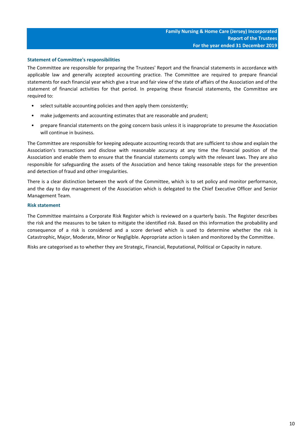# **Statement of Committee's responsibilities**

The Committee are responsible for preparing the Trustees' Report and the financial statements in accordance with applicable law and generally accepted accounting practice. The Committee are required to prepare financial statements for each financial year which give a true and fair view of the state of affairs of the Association and of the statement of financial activities for that period. In preparing these financial statements, the Committee are required to:

- select suitable accounting policies and then apply them consistently;
- make judgements and accounting estimates that are reasonable and prudent;
- prepare financial statements on the going concern basis unless it is inappropriate to presume the Association will continue in business.

The Committee are responsible for keeping adequate accounting records that are sufficient to show and explain the Association's transactions and disclose with reasonable accuracy at any time the financial position of the Association and enable them to ensure that the financial statements comply with the relevant laws. They are also responsible for safeguarding the assets of the Association and hence taking reasonable steps for the prevention and detection of fraud and other irregularities.

There is a clear distinction between the work of the Committee, which is to set policy and monitor performance, and the day to day management of the Association which is delegated to the Chief Executive Officer and Senior Management Team.

# **Risk statement**

The Committee maintains a Corporate Risk Register which is reviewed on a quarterly basis. The Register describes the risk and the measures to be taken to mitigate the identified risk. Based on this information the probability and consequence of a risk is considered and a score derived which is used to determine whether the risk is Catastrophic, Major, Moderate, Minor or Negligible. Appropriate action is taken and monitored by the Committee.

Risks are categorised as to whether they are Strategic, Financial, Reputational, Political or Capacity in nature.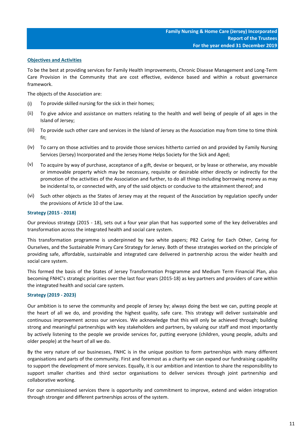# **Objectives and Activities**

To be the best at providing services for Family Health Improvements, Chronic Disease Management and Long-Term Care Provision in the Community that are cost effective, evidence based and within a robust governance framework.

The objects of the Association are:

- (i) To provide skilled nursing for the sick in their homes;
- (ii) To give advice and assistance on matters relating to the health and well being of people of all ages in the Island of Jersey;
- (iii) To provide such other care and services in the Island of Jersey as the Association may from time to time think fit;
- (iv) To carry on those activities and to provide those services hitherto carried on and provided by Family Nursing Services (Jersey) Incorporated and the Jersey Home Helps Society for the Sick and Aged;
- (v) To acquire by way of purchase, acceptance of a gift, devise or bequest, or by lease or otherwise, any movable or immovable property which may be necessary, requisite or desirable either directly or indirectly for the promotion of the activities of the Association and further, to do all things including borrowing money as may be incidental to, or connected with, any of the said objects or conducive to the attainment thereof; and
- (vi) Such other objects as the States of Jersey may at the request of the Association by regulation specify under the provisions of Article 10 of the Law.

# **Strategy (2015 - 2018)**

Our previous strategy (2015 - 18), sets out a four year plan that has supported some of the key deliverables and transformation across the integrated health and social care system.

This transformation programme is underpinned by two white papers; P82 Caring for Each Other, Caring for Ourselves, and the Sustainable Primary Care Strategy for Jersey. Both of these strategies worked on the principle of providing safe, affordable, sustainable and integrated care delivered in partnership across the wider health and social care system.

This formed the basis of the States of Jersey Transformation Programme and Medium Term Financial Plan, also becoming FNHC's strategic priorities over the last four years (2015-18) as key partners and providers of care within the integrated health and social care system.

# **Strategy (2019 - 2023)**

Our ambition is to serve the community and people of Jersey by; always doing the best we can, putting people at the heart of all we do, and providing the highest quality, safe care. This strategy will deliver sustainable and continuous improvement across our services. We acknowledge that this will only be achieved through; building strong and meaningful partnerships with key stakeholders and partners, by valuing our staff and most importantly by actively listening to the people we provide services for, putting everyone (children, young people, adults and older people) at the heart of all we do.

By the very nature of our businesses, FNHC is in the unique position to form partnerships with many different organisations and parts of the community. First and foremost as a charity we can expand our fundraising capability to support the development of more services. Equally, it is our ambition and intention to share the responsibility to support smaller charities and third sector organisations to deliver services through joint partnership and collaborative working.

For our commissioned services there is opportunity and commitment to improve, extend and widen integration through stronger and different partnerships across of the system.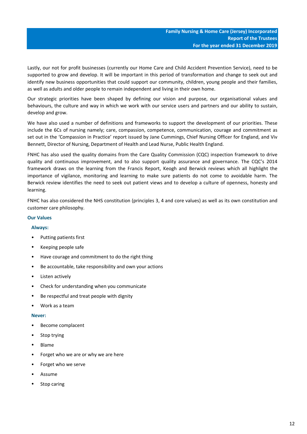Lastly, our not for profit businesses (currently our Home Care and Child Accident Prevention Service), need to be supported to grow and develop. It will be important in this period of transformation and change to seek out and identify new business opportunities that could support our community, children, young people and their families, as well as adults and older people to remain independent and living in their own home.

Our strategic priorities have been shaped by defining our vision and purpose, our organisational values and behaviours, the culture and way in which we work with our service users and partners and our ability to sustain, develop and grow.

We have also used a number of definitions and frameworks to support the development of our priorities. These include the 6Cs of nursing namely; care, compassion, competence, communication, courage and commitment as set out in the 'Compassion in Practice' report issued by Jane Cummings, Chief Nursing Officer for England, and Viv Bennett, Director of Nursing, Department of Health and Lead Nurse, Public Health England.

FNHC has also used the quality domains from the Care Quality Commission (CQC) inspection framework to drive quality and continuous improvement, and to also support quality assurance and governance. The CQC's 2014 framework draws on the learning from the Francis Report, Keogh and Berwick reviews which all highlight the importance of vigilance, monitoring and learning to make sure patients do not come to avoidable harm. The Berwick review identifies the need to seek out patient views and to develop a culture of openness, honesty and learning.

FNHC has also considered the NHS constitution (principles 3, 4 and core values) as well as its own constitution and customer care philosophy.

# **Our Values**

# **Always:**

- Putting patients first
- Keeping people safe
- Have courage and commitment to do the right thing
- Be accountable, take responsibility and own your actions
- Listen actively
- Check for understanding when you communicate
- Be respectful and treat people with dignity
- Work as a team

# **Never:**

- Become complacent
- Stop trying
- Blame
- Forget who we are or why we are here
- Forget who we serve
- Assume
- Stop caring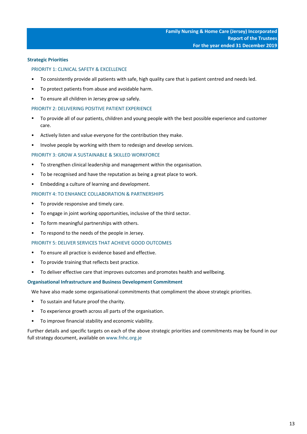# **Strategic Priorities**

# PRIORITY 1: CLINICAL SAFETY & EXCELLENCE

- To consistently provide all patients with safe, high quality care that is patient centred and needs led.
- To protect patients from abuse and avoidable harm.
- To ensure all children in Jersey grow up safely.

# PRIORITY 2: DELIVERING POSITIVE PATIENT EXPERIENCE

- To provide all of our patients, children and young people with the best possible experience and customer care.
- Actively listen and value everyone for the contribution they make.
- Involve people by working with them to redesign and develop services.

# PRIORITY 3: GROW A SUSTAINABLE & SKILLED WORKFORCE

- To strengthen clinical leadership and management within the organisation.
- To be recognised and have the reputation as being a great place to work.
- Embedding a culture of learning and development.

# PRIORITY 4: TO ENHANCE COLLABORATION & PARTNERSHIPS

- To provide responsive and timely care.
- To engage in joint working opportunities, inclusive of the third sector.
- To form meaningful partnerships with others.
- To respond to the needs of the people in Jersey.

# PRIORITY 5: DELIVER SERVICES THAT ACHIEVE GOOD OUTCOMES

- To ensure all practice is evidence based and effective.
- To provide training that reflects best practice.
- To deliver effective care that improves outcomes and promotes health and wellbeing.

#### **Organisational Infrastructure and Business Development Commitment**

We have also made some organisational commitments that compliment the above strategic priorities.

- To sustain and future proof the charity.
- To experience growth across all parts of the organisation.
- To improve financial stability and economic viability.

Further details and specific targets on each of the above strategic priorities and commitments may be found in our full strategy document, available on www.fnhc.org.je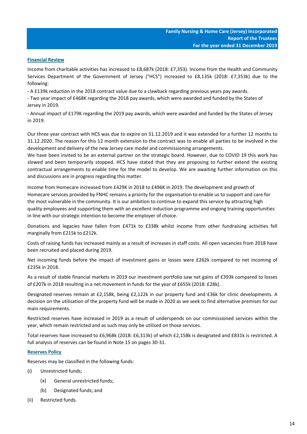# **Financial Review**

Income from charitable activities has increased to £8,687k (2018: £7,353). Income from the Health and Community Services Department of the Government of Jersey ("HCS") increased to £8,135k (2018: £7,353k) due to the following:

- A £139k reduction in the 2018 contract value due to a clawback regarding previous years pay awards.

- Two year impact of £468K regarding the 2018 pay awards, which were awarded and funded by the States of Jersey in 2019.

- Annual impact of £179K regarding the 2019 pay awards, which were awarded and funded by the States of Jersey in 2019.

Our three year contract with HCS was due to expire on 31.12.2019 and it was extended for a further 12 months to 31.12.2020. The reason for this 12 month extension to the contract was to enable all parties to be involved in the development and delivery of the new Jersey care model and commissioning arrangements.

We have been invited to be an external partner on the strategic board. However, due to COVID 19 this work has slowed and been temporarily stopped. HCS have stated that they are proposing to further extend the existing contractual arrangements to enable time for the model to develop. We are awaiting further information on this and discussions are in progress regarding this matter.

Income from Homecare increased from £429K in 2018 to £496K in 2019. The development and growth of Homecare services provided by FNHC remains a priority for the organisation to enable us to support and care for the most vulnerable in the community. It is our ambition to continue to expand this service by attracting high quality employees and supporting them with an excellent induction programme and ongong training opportunities in line with our strategic intention to become the employer of choice.

Donations and legacies have fallen from £471k to £338k whilst income from other fundraising activities fell marginally from £215k to £212k.

Costs of raising funds has increased mainly as a result of increases in staff costs. All open vacancies from 2018 have been recruited and placed during 2019.

Net incoming funds before the impact of investment gains or losses were £262k compared to net incoming of £235k in 2018.

As a result of stable financial markets in 2019 our investment portfolio saw net gains of £393k compared to losses of £207k in 2018 resulting in a net movement in funds for the year of £655k (2018: £28k).

Designated reserves remain at £2,158k, being £2,122k in our property fund and £36k for clinic developments. A decision on the utilisation of the property fund will be made in 2020 as we seek to find alternative premises for our main requirements.

Restricted reserves have increased in 2019 as a result of underspends on our commissioned services within the year, which remain restricted and as such may only be utilised on those services.

Total reserves have increased to £6,968k (2018: £6,313k) of which £2,158k is designated and £831k is restricted. A full analysis of reserves can be found in Note 15 on pages 30-31.

# **Reserves Policy**

Reserves may be classified in the following funds:

- (i) Unrestricted funds;
	- (a) General unrestricted funds;
	- (b) Designated funds; and
- (ii) Restricted funds.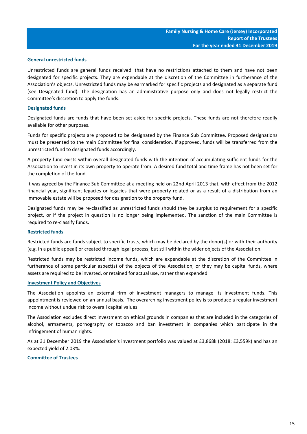# **General unrestricted funds**

Unrestricted funds are general funds received that have no restrictions attached to them and have not been designated for specific projects. They are expendable at the discretion of the Committee in furtherance of the Association's objects. Unrestricted funds may be earmarked for specific projects and designated as a separate fund (see Designated fund). The designation has an administrative purpose only and does not legally restrict the Committee's discretion to apply the funds.

# **Designated funds**

Designated funds are funds that have been set aside for specific projects. These funds are not therefore readily available for other purposes.

Funds for specific projects are proposed to be designated by the Finance Sub Committee. Proposed designations must be presented to the main Committee for final consideration. If approved, funds will be transferred from the unrestricted fund to designated funds accordingly.

A property fund exists within overall designated funds with the intention of accumulating sufficient funds for the Association to invest in its own property to operate from. A desired fund total and time frame has not been set for the completion of the fund.

It was agreed by the Finance Sub Committee at a meeting held on 22nd April 2013 that, with effect from the 2012 financial year, significant legacies or legacies that were property related or as a result of a distribution from an immovable estate will be proposed for designation to the property fund.

Designated funds may be re-classified as unrestricted funds should they be surplus to requirement for a specific project, or if the project in question is no longer being implemented. The sanction of the main Committee is required to re-classify funds.

# **Restricted funds**

Restricted funds are funds subject to specific trusts, which may be declared by the donor(s) or with their authority (e.g. in a public appeal) or created through legal process, but still within the wider objects of the Association.

Restricted funds may be restricted income funds, which are expendable at the discretion of the Committee in furtherance of some particular aspect(s) of the objects of the Association, or they may be capital funds, where assets are required to be invested, or retained for actual use, rather than expended.

# **Investment Policy and Objectives**

The Association appoints an external firm of investment managers to manage its investment funds. This appointment is reviewed on an annual basis. The overarching investment policy is to produce a regular investment income without undue risk to overall capital values.

The Association excludes direct investment on ethical grounds in companies that are included in the categories of alcohol, armaments, pornography or tobacco and ban investment in companies which participate in the infringement of human rights.

As at 31 December 2019 the Association's investment portfolio was valued at £3,868k (2018: £3,559k) and has an expected yield of 2.03%.

# **Committee of Trustees**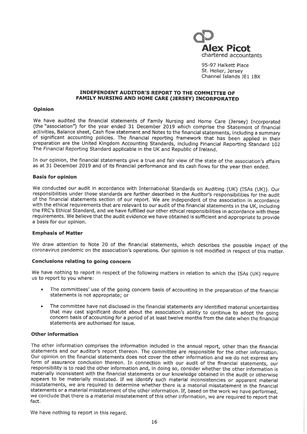

95-97 Halkett Place St. Helier, Jersey Channel Islands JE1 1BX

### **INDEPENDENT AUDITOR'S REPORT TO THE COMMITTEE OF FAMILY NURSING AND HOME CARE (JERSEY) INCORPORATED**

# Opinion

We have audited the financial statements of Family Nursing and Home Care (Jersey) Incorporated (the "association") for the year ended 31 December 2019 which comprise the Statement of financial activities, Balance sheet, Cash flow statement and Notes to the financial statements, including a summary of significant accounting policies. The financial reporting framework that has been applied in their preparation are the United Kingdom Accounting Standards, including Financial Reporting Standard 102 The Financial Reporting Standard applicable in the UK and Republic of Ireland.

In our opinion, the financial statements give a true and fair view of the state of the association's affairs as at 31 December 2019 and of its financial performance and its cash flows for the year then ended.

### **Basis for opinion**

We conducted our audit in accordance with International Standards on Auditing (UK) (ISAs (UK)). Our responsibilities under those standards are further described in the Auditor's responsibilities for the audit of the financial statements section of our report. We are independent of the association in accordance with the ethical requirements that are relevant to our audit of the financial statements in the UK, including the FRC's Ethical Standard, and we have fulfilled our other ethical responsibilities in accordance with these requirements. We believe that the audit evidence we have obtained is sufficient and appropriate to provide a basis for our opinion.

#### **Emphasis of Matter**

We draw attention to Note 20 of the financial statements, which describes the possible impact of the coronavirus pandemic on the association's operations. Our opinion is not modified in respect of this matter.

# Conclusions relating to going concern

We have nothing to report in respect of the following matters in relation to which the ISAs (UK) require us to report to you where:

- The committees' use of the going concern basis of accounting in the preparation of the financial statements is not appropriate; or
- The committee have not disclosed in the financial statements any identified material uncertainties that may cast significant doubt about the association's ability to continue to adopt the going concern basis of accounting for a period of at least twelve months from the date when the financial statements are authorised for issue.

# **Other information**

The other information comprises the information included in the annual report, other than the financial statements and our auditor's report thereon. The committee are responsible for the other information. Our opinion on the financial statements does not cover the other information and we do not express any form of assurance conclusion thereon. In connection with our audit of the financial statements, our responsibility is to read the other information and, in doing so, consider whether the other information is materially inconsistent with the financial statements or our knowledge obtained in the audit or otherwise appears to be materially misstated. If we identify such material inconsistencies or apparent material misstatements, we are required to determine whether there is a material misstatement in the financial statements or a material misstatement of the other information. If, based on the work we have performed, we conclude that there is a material misstatement of this other information, we are required to report that fact.

We have nothing to report in this regard.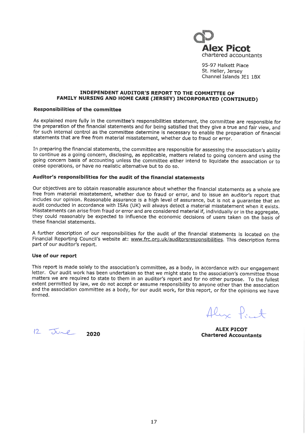

95-97 Halkett Place St. Helier, Jersey Channel Islands JF1 1BX

## INDEPENDENT AUDITOR'S REPORT TO THE COMMITTEE OF FAMILY NURSING AND HOME CARE (JERSEY) INCORPORATED (CONTINUED)

# **Responsibilities of the committee**

As explained more fully in the committee's responsibilities statement, the committee are responsible for the preparation of the financial statements and for being satisfied that they give a true and fair view, and for such internal control as the committee determine is necessary to enable the preparation of financial statements that are free from material misstatement, whether due to fraud or error.

In preparing the financial statements, the committee are responsible for assessing the association's ability to continue as a going concern, disclosing, as applicable, matters related to going concern and using the going concern basis of accounting unless the committee either intend to liquidate the association or to cease operations, or have no realistic alternative but to do so.

# Auditor's responsibilities for the audit of the financial statements

Our objectives are to obtain reasonable assurance about whether the financial statements as a whole are free from material misstatement, whether due to fraud or error, and to issue an auditor's report that includes our opinion. Reasonable assurance is a high level of assurance, but is not a guarantee that an audit conducted in accordance with ISAs (UK) will always detect a material misstatement when it exists. Misstatements can arise from fraud or error and are considered material if, individually or in the aggregate, they could reasonably be expected to influence the economic decisions of users taken on the basis of these financial statements.

A further description of our responsibilities for the audit of the financial statements is located on the Financial Reporting Council's website at: www.frc.org.uk/auditorsresponsibilities. This description forms part of our auditor's report.

# Use of our report

This report is made solely to the association's committee, as a body, in accordance with our engagement letter. Our audit work has been undertaken so that we might state to the association's committee those matters we are required to state to them in an auditor's report and for no other purpose. To the fullest extent permitted by law, we do not accept or assume responsibility to anyone other than the association and the association committee as a body, for our audit work, for this report, or for the opinions we have formed.

Aliz Point

**ALEX PICOT Chartered Accountants** 

 $12$  June 2020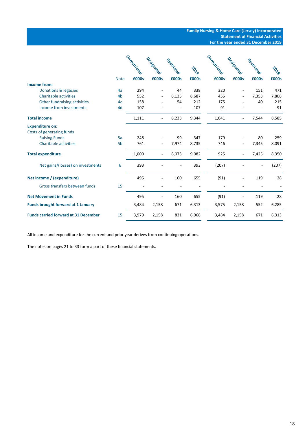|                                             |                | Unrestricted |            |            |             | Unrestricted |            |            |             |
|---------------------------------------------|----------------|--------------|------------|------------|-------------|--------------|------------|------------|-------------|
|                                             |                |              | Designated | Restricted | <b>PONS</b> |              | Designated | Restricted | <b>PARA</b> |
|                                             | <b>Note</b>    | £000s        | £000s      | £000s      | £000s       | £000s        | £000s      | £000s      | £000s       |
| Income from:                                |                |              |            |            |             |              |            |            |             |
| Donations & legacies                        | 4a             | 294          |            | 44         | 338         | 320          |            | 151        | 471         |
| <b>Charitable activities</b>                | 4 <sub>b</sub> | 552          |            | 8,135      | 8,687       | 455          |            | 7,353      | 7,808       |
| Other fundraising activities                | 4c             | 158          |            | 54         | 212         | 175          |            | 40         | 215         |
| Income from investments                     | 4d             | 107          |            |            | 107         | 91           |            |            | 91          |
| <b>Total income</b>                         |                | 1,111        |            | 8,233      | 9,344       | 1,041        |            | 7,544      | 8,585       |
| <b>Expenditure on:</b>                      |                |              |            |            |             |              |            |            |             |
| Costs of generating funds                   |                |              |            |            |             |              |            |            |             |
| <b>Raising Funds</b>                        | 5a             | 248          |            | 99         | 347         | 179          |            | 80         | 259         |
| <b>Charitable activities</b>                | 5 <sub>b</sub> | 761          |            | 7,974      | 8,735       | 746          |            | 7,345      | 8,091       |
| <b>Total expenditure</b>                    |                | 1,009        |            | 8,073      | 9,082       | 925          |            | 7,425      | 8,350       |
| Net gains/(losses) on investments           | 6              | 393          |            |            | 393         | (207)        |            |            | (207)       |
| Net income / (expenditure)                  |                | 495          |            | 160        | 655         | (91)         |            | 119        | 28          |
| Gross transfers between funds               | 15             |              |            |            |             |              |            |            |             |
| <b>Net Movement in Funds</b>                |                | 495          |            | 160        | 655         | (91)         |            | 119        | 28          |
| <b>Funds brought forward at 1 January</b>   |                | 3,484        | 2,158      | 671        | 6,313       | 3,575        | 2,158      | 552        | 6,285       |
| <b>Funds carried forward at 31 December</b> | 15             | 3,979        | 2,158      | 831        | 6,968       | 3,484        | 2,158      | 671        | 6,313       |

All income and expenditure for the current and prior year derives from continuing operations.

The notes on pages 21 to 33 form a part of these financial statements.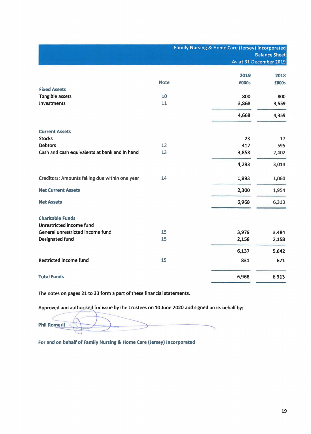Family Nursing & Home Care (Jersey) Incorporated Balance Sheet As at 31 December 2019

|                                                |             | 2019  | 2018  |
|------------------------------------------------|-------------|-------|-------|
|                                                | <b>Note</b> | £000s | £000s |
| <b>Fixed Assets</b>                            |             |       |       |
| Tangible assets                                | 10          | 800   | 800   |
| Investments                                    | 11          | 3,868 | 3,559 |
|                                                |             | 4,668 | 4,359 |
|                                                |             |       |       |
| <b>Current Assets</b>                          |             |       |       |
| <b>Stocks</b>                                  |             | 23    | 17    |
| <b>Debtors</b>                                 | 12          | 412   | 595   |
| Cash and cash equivalents at bank and in hand  | 13          | 3,858 | 2,402 |
|                                                |             | 4,293 | 3,014 |
| Creditors: Amounts falling due within one year | 14          | 1,993 | 1,060 |
| <b>Net Current Assets</b>                      |             | 2,300 | 1,954 |
| <b>Net Assets</b>                              |             | 6,968 | 6,313 |
| <b>Charitable Funds</b>                        |             |       |       |
| Unrestricted income fund                       |             |       |       |
| General unrestricted income fund               | 15          | 3,979 | 3,484 |
| Designated fund                                | 15          | 2,158 | 2,158 |
|                                                |             | 6,137 | 5,642 |
| <b>Restricted income fund</b>                  | 15          | 831   | 671   |
| <b>Total Funds</b>                             |             | 6,968 | 6,313 |
|                                                |             |       |       |

The notes on pages 21 to 33 form a part of these financial statements.

Approved and authorised for issue by the Trustees on 10 June 2020 and signed on its behalf by:

 $~\bullet~$ 

For and on behalf of Family Nursing & Home Care (Jersey) Incorporated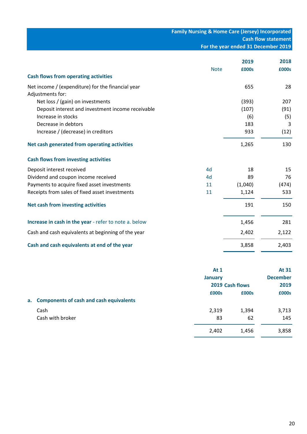# **Family Nursing & Home Care (Jersey) Incorporated Cash flow statement For the year ended 31 December 2019**

| <b>Cash flows from operating activities</b>           | <b>Note</b> | 2019<br>£000s | 2018<br>£000s |
|-------------------------------------------------------|-------------|---------------|---------------|
| Net income / (expenditure) for the financial year     |             | 655           | 28            |
| Adjustments for:                                      |             |               |               |
| Net loss / (gain) on investments                      |             | (393)         | 207           |
| Deposit interest and investment income receivable     |             | (107)         | (91)          |
| Increase in stocks                                    |             | (6)           | (5)           |
| Decrease in debtors                                   |             | 183           | 3             |
| Increase / (decrease) in creditors                    |             | 933           | (12)          |
| Net cash generated from operating activities          |             | 1,265         | 130           |
| <b>Cash flows from investing activities</b>           |             |               |               |
| Deposit interest received                             | 4d          | 18            | 15            |
| Dividend and coupon income received                   | 4d          | 89            | 76            |
| Payments to acquire fixed asset investments           | 11          | (1,040)       | (474)         |
| Receipts from sales of fixed asset investments        | 11          | 1,124         | 533           |
| Net cash from investing activities                    |             | 191           | 150           |
| Increase in cash in the year - refer to note a. below |             | 1,456         | 281           |
| Cash and cash equivalents at beginning of the year    |             | 2,402         | 2,122         |
| Cash and cash equivalents at end of the year          |             | 3,858         | 2,403         |

|                                            | At $1$         |                 | At 31 |  |  |
|--------------------------------------------|----------------|-----------------|-------|--|--|
|                                            | <b>January</b> |                 |       |  |  |
|                                            |                | 2019 Cash flows |       |  |  |
|                                            | £000s          | £000s           | £000s |  |  |
| a. Components of cash and cash equivalents |                |                 |       |  |  |
| Cash                                       | 2,319          | 1,394           | 3,713 |  |  |
| Cash with broker                           | 83             | 62              | 145   |  |  |
|                                            | 2,402          | 1,456           | 3,858 |  |  |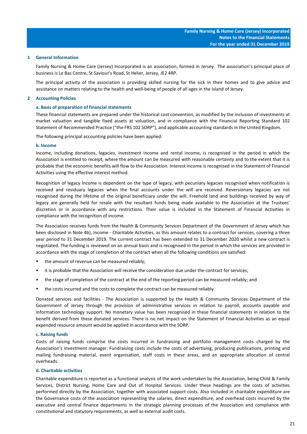#### **1 General Information**

Family Nursing & Home Care (Jersey) Incorporated is an association, formed in Jersey. The association's principal place of business is Le Bas Centre, St Saviour's Road, St Helier, Jersey, JE2 4RP.

The principal activity of the association is providing skilled nursing for the sick in their homes and to give advice and assistance on matters relating to the health and well-being of people of all ages in the Island of Jersey.

### **2 Accounting Policies**

#### **a. Basis of preparation of financial statements**

These financial statements are prepared under the historical cost convention, as modified by the inclusion of investments at market valuation and tangible fixed assets at valuation, and in compliance with the Financial Reporting Standard 102 Statement of Recommended Practice ("the FRS 102 SORP"), and applicable accounting standards in the United Kingdom.

The following principal accounting policies have been applied:

#### **b. Income**

Income, including donations, legacies, investment income and rental income, is recognised in the period in which the Association is entitled to receipt, where the amount can be measured with reasonable certainty and to the extent that it is probable that the economic benefits will flow to the Association. Interest income is recognised in the Statement of Financial Activities using the effective interest method.

Recognition of legacy income is dependent on the type of legacy, with pecuniary legacies recognised when notification is received and residuary legacies when the final accounts under the will are received. Reversionary legacies are not recognised during the lifetime of the original beneficiary under the will. Freehold land and buildings received by way of legacy are generally held for resale with the resultant funds being made available to the Association at the Trustees' discretion or in accordance with any restrictions. Their value is included in the Statement of Financial Activities in compliance with the recognition of income.

The Association receives funds from the Health & Community Services Department of the Government of Jersey which has been disclosed in Note 4b), Income - Charitable Activities, as this amount relates to a contract for services, covering a three year period to 31 December 2019. The current contract has been extended to 31 December 2020 whilst a new contract is negotiated. The funding is reviewed on an annual basis and is recognised in the period in which the services are provided in accordance with the stage of completion of the contract when all the following conditions are satisfied:

- the amount of revenue can be measured reliably;
- it is probable that the Association will receive the consideration due under the contract for services;
- the stage of completion of the contract at the end of the reporting period can be measured reliably; and
- the costs incurred and the costs to complete the contract can be measured reliably.

Donated services and facilities - The Association is supported by the Health & Community Services Department of the Government of Jersey through the provision of administrative services in relation to payroll, accounts payable and information technology support. No monetary value has been recognised in these financial statements in relation to the benefit derived from these donated services. There is no net impact on the Statement of Financial Activities as an equal expended resource amount would be applied in accordance with the SORP.

#### **c. Raising funds**

Costs of raising funds comprise the costs incurred in fundraising and portfolio management costs charged by the Association's investment manager. Fundraising costs include the costs of advertising, producing publications, printing and mailing fundraising material, event organisation, staff costs in these areas, and an appropriate allocation of central overheads.

#### **d. Charitable activities**

Charitable expenditure is reported as a functional analysis of the work undertaken by the Association, being Child & Family Services, District Nursing, Home Care and Out of Hospital Services. Under these headings are the costs of activities performed directly by the Association, together with associated support costs. Also included in charitable expenditure are the Governance costs of the association representing the salaries, direct expenditure, and overhead costs incurred by the executive and central finance departments in the strategic planning processes of the Association and compliance with constitutional and statutory requirements, as well as external audit costs.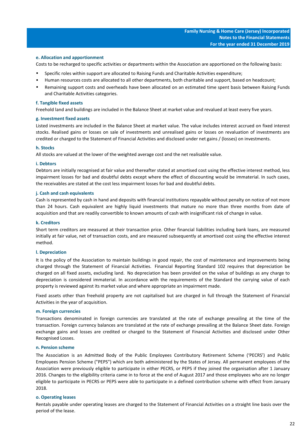#### **e. Allocation and apportionment**

Costs to be recharged to specific activities or departments within the Association are apportioned on the following basis:

- Specific roles within support are allocated to Raising Funds and Charitable Activities expenditure;
- Human resources costs are allocated to all other departments, both charitable and support, based on headcount;
- Remaining support costs and overheads have been allocated on an estimated time spent basis between Raising Funds and Charitable Activities categories.

#### **f. Tangible fixed assets**

Freehold land and buildings are included in the Balance Sheet at market value and revalued at least every five years.

#### **g. Investment fixed assets**

Listed investments are included in the Balance Sheet at market value. The value includes interest accrued on fixed interest stocks. Realised gains or losses on sale of investments and unrealised gains or losses on revaluation of investments are credited or charged to the Statement of Financial Activities and disclosed under net gains / (losses) on investments.

#### **h. Stocks**

All stocks are valued at the lower of the weighted average cost and the net realisable value.

#### **i. Debtors**

Debtors are initially recognised at fair value and thereafter stated at amortised cost using the effective interest method, less impairment losses for bad and doubtful debts except where the effect of discounting would be immaterial. In such cases, the receivables are stated at the cost less impairment losses for bad and doubtful debts.

#### **j. Cash and cash equivalents**

Cash is represented by cash in hand and deposits with financial institutions repayable without penalty on notice of not more than 24 hours. Cash equivalent are highly liquid investments that mature no more than three months from date of acquisition and that are readily convertible to known amounts of cash with insignificant risk of change in value.

#### **k. Creditors**

Short term creditors are measured at their transaction price. Other financial liabilities including bank loans, are measured initially at fair value, net of transaction costs, and are measured subsequently at amortised cost using the effective interest method.

### **l. Depreciation**

It is the policy of the Association to maintain buildings in good repair, the cost of maintenance and improvements being charged through the Statement of Financial Activities. Financial Reporting Standard 102 requires that depreciation be charged on all fixed assets, excluding land. No depreciation has been provided on the value of buildings as any charge to depreciation is considered immaterial. In accordance with the requirements of the Standard the carrying value of each property is reviewed against its market value and where appropriate an impairment made.

Fixed assets other than freehold property are not capitalised but are charged in full through the Statement of Financial Activities in the year of acquisition.

#### **m. Foreign currencies**

Transactions denominated in foreign currencies are translated at the rate of exchange prevailing at the time of the transaction. Foreign currency balances are translated at the rate of exchange prevailing at the Balance Sheet date. Foreign exchange gains and losses are credited or charged to the Statement of Financial Activities and disclosed under Other Recognised Losses.

#### **n. Pension scheme**

The Association is an Admitted Body of the Public Employees Contributory Retirement Scheme ('PECRS') and Public Employees Pension Scheme ("PEPS") which are both administered by the States of Jersey. All permanent employees of the Association were previously eligible to participate in either PECRS, or PEPS if they joined the organisation after 1 January 2016. Changes to the eligibility criteria came in to force at the end of August 2017 and those employees who are no longer eligible to participate in PECRS or PEPS were able to participate in a defined contribution scheme with effect from January 2018.

#### **o. Operating leases**

Rentals payable under operating leases are charged to the Statement of Financial Activities on a straight line basis over the period of the lease.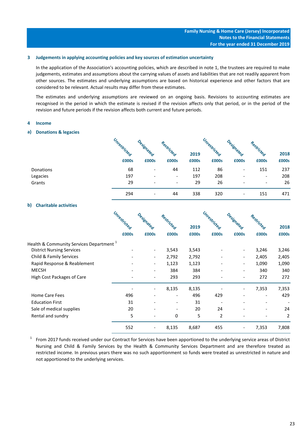#### **3 Judgements in applying accounting policies and key sources of estimation uncertainty**

In the application of the Association's accounting policies, which are described in note 1, the trustees are required to make judgements, estimates and assumptions about the carrying values of assets and liabilities that are not readily apparent from other sources. The estimates and underlying assumptions are based on historical experience and other factors that are considered to be relevant. Actual results may differ from these estimates.

The estimates and underlying assumptions are reviewed on an ongoing basis. Revisions to accounting estimates are recognised in the period in which the estimate is revised if the revision affects only that period, or in the period of the revision and future periods if the revision affects both current and future periods.

#### **4 Income**

# **a) Donations & legacies**

|           | Unrestricted | esienated                | Restric                  |       | Unrestricted |                          |                          |       |
|-----------|--------------|--------------------------|--------------------------|-------|--------------|--------------------------|--------------------------|-------|
|           |              |                          | .Cteg                    | 2019  |              | " <sup>Ignategr</sup>    | stricteg                 | 2018  |
|           | £000s        | £000s                    | £000s                    | £000s | £000s        | £000s                    | £000s                    | £000s |
| Donations | 68           | $\qquad \qquad$          | 44                       | 112   | 86           | $\overline{\phantom{a}}$ | 151                      | 237   |
| Legacies  | 197          | $\overline{a}$           | $\overline{\phantom{a}}$ | 197   | 208          |                          | $\overline{\phantom{a}}$ | 208   |
| Grants    | 29           | $\overline{\phantom{0}}$ | $\overline{\phantom{a}}$ | 29    | 26           |                          | $\overline{\phantom{a}}$ | 26    |
|           | 294          | $\overline{\phantom{a}}$ | 44                       | 338   | 320          | $\overline{\phantom{a}}$ | 151                      | 471   |

# **b) Charitable activities**

|                                             | Unrestricted |                          |                          |       | Unrestricted |                          |                          |       |
|---------------------------------------------|--------------|--------------------------|--------------------------|-------|--------------|--------------------------|--------------------------|-------|
|                                             |              | Designated               | Restricted               | 2019  |              | Designated               | Restricted               | 2018  |
|                                             | £000s        | £000s                    | £000s                    | £000s | £000s        | £000s                    | £000s                    | £000s |
| Health & Community Services Department $^1$ |              |                          |                          |       |              |                          |                          |       |
| <b>District Nursing Services</b>            |              | $\overline{\phantom{a}}$ | 3,543                    | 3,543 |              | $\overline{\phantom{a}}$ | 3,246                    | 3,246 |
| Child & Family Services                     |              | $\overline{\phantom{0}}$ | 2,792                    | 2,792 |              | $\overline{\phantom{a}}$ | 2,405                    | 2,405 |
| Rapid Response & Reablement                 |              | $\overline{\phantom{0}}$ | 1,123                    | 1,123 |              |                          | 1,090                    | 1,090 |
| <b>MECSH</b>                                |              | $\overline{\phantom{0}}$ | 384                      | 384   |              |                          | 340                      | 340   |
| High Cost Packages of Care                  |              | $\overline{\phantom{0}}$ | 293                      | 293   |              | $\overline{\phantom{a}}$ | 272                      | 272   |
|                                             |              |                          | 8,135                    | 8,135 |              |                          | 7,353                    | 7,353 |
| <b>Home Care Fees</b>                       | 496          |                          | $\overline{\phantom{a}}$ | 496   | 429          |                          | $\overline{\phantom{0}}$ | 429   |
| <b>Education First</b>                      | 31           |                          | $\overline{\phantom{a}}$ | 31    |              |                          |                          |       |
| Sale of medical supplies                    | 20           |                          |                          | 20    | 24           |                          |                          | 24    |
| Rental and sundry                           | 5            |                          | 0                        | 5     | 2            |                          |                          | 2     |
|                                             | 552          | $\overline{\phantom{a}}$ | 8,135                    | 8,687 | 455          | $\overline{\phantom{a}}$ | 7,353                    | 7,808 |

 $1$  From 2017 funds received under our Contract for Services have been apportioned to the underlying service areas of District Nursing and Child & Family Services by the Health & Community Services Department and are therefore treated as restricted income. In previous years there was no such apportionment so funds were treated as unrestricted in nature and not apportioned to the underlying services.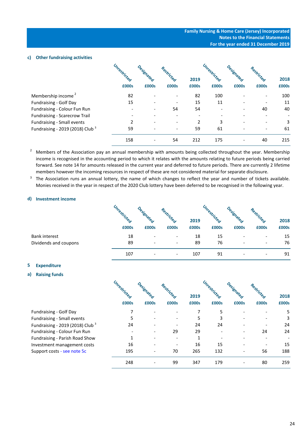#### **c) Other fundraising activities**

|                                             | Unrestricted | Designated | Restricted |                | Unrestricted | Jesienated | Restricted |       |
|---------------------------------------------|--------------|------------|------------|----------------|--------------|------------|------------|-------|
|                                             |              |            |            | 2019           |              |            |            | 2018  |
|                                             | £000s        | £000s      | £000s      | £000s          | £000s        | £000s      | £000s      | £000s |
| Membership income <sup>2</sup>              | 82           |            |            | 82             | 100          |            |            | 100   |
| Fundraising - Golf Day                      | 15           |            |            | 15             | 11           |            |            | 11    |
| Fundraising - Colour Fun Run                |              |            | 54         | 54             |              |            | 40         | 40    |
| Fundraising - Scarecrow Trail               |              |            |            |                |              |            |            |       |
| Fundraising - Small events                  | 2            |            |            | $\overline{2}$ | 3            |            |            | 3     |
| Fundraising - 2019 (2018) Club <sup>3</sup> | 59           |            |            | 59             | 61           |            |            | 61    |
|                                             | 158          |            | 54         | 212            | 175          |            | 40         | 215   |

2 Members of the Association pay an annual membership with amounts being collected throughout the year. Membership income is recognised in the accounting period to which it relates with the amounts relating to future periods being carried forward. See note 14 for amounts released in the current year and deferred to future periods. There are currently 2 lifetime members however the incoming resources in respect of these are not considered material for separate disclosure.

 $3$  The Association runs an annual lottery, the name of which changes to reflect the year and number of tickets available. Monies received in the year in respect of the 2020 Club lottery have been deferred to be recognised in the following year.

#### **d) Investment income**

|                       | Unrestricted<br>£000s | ଙ୍କ<br>$\sim$<br>£000s       | <b>Po</b><br>£000s       | 2019<br>£000s | £000s | £000s | <b>CO</b><br>£000s           | 2018<br>£000s |
|-----------------------|-----------------------|------------------------------|--------------------------|---------------|-------|-------|------------------------------|---------------|
| Bank interest         | 18                    | $\qquad \qquad \blacksquare$ | $\overline{\phantom{a}}$ | 18            | 15    |       | $\qquad \qquad \blacksquare$ | 15            |
| Dividends and coupons | 89                    | $\qquad \qquad \blacksquare$ | $\overline{\phantom{0}}$ | 89            | 76    |       | $\overline{\phantom{a}}$     | 76            |
|                       | 107                   | $\qquad \qquad$              | $\overline{\phantom{0}}$ | 107           | 91    |       | $\qquad \qquad \blacksquare$ | 91            |

# **5 Expenditure**

# **a) Raising funds**

Fundraising - Small events Fundraising - 2019 (2018) Club  $3$ Fundraising - Colour Fun Run Fundraising - Parish Road Show Investment management costs Support costs - see note 5c

Fundraising - Golf Day

| Unrestricted | Designated |            |       | Unrestricted | Designated |            |       |
|--------------|------------|------------|-------|--------------|------------|------------|-------|
|              |            | Restricted | 2019  |              |            | Restricted | 2018  |
| £000s        | £000s      | £000s      | £000s | £000s        | £000s      | £000s      | £000s |
| 7            |            |            | 7     | 5            |            |            | 5     |
| 5            |            |            | 5     | 3            |            |            | 3     |
| 24           |            |            | 24    | 24           |            |            | 24    |
|              |            | 29         | 29    |              |            | 24         | 24    |
| 1            |            |            | 1     |              |            |            |       |
| 16           |            |            | 16    | 15           |            |            | 15    |
| 195          |            | 70         | 265   | 132          |            | 56         | 188   |
| 248          |            | 99         | 347   | 179          |            | 80         | 259   |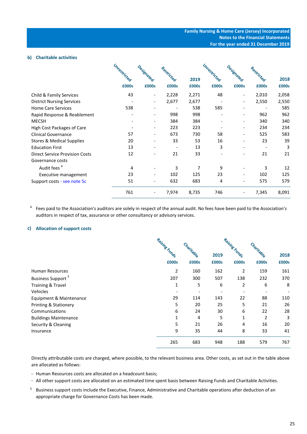#### **b) Charitable activities**

|                                       | Unrestricted | Designated               |            |       | Unrestricted | Designated               |            |       |
|---------------------------------------|--------------|--------------------------|------------|-------|--------------|--------------------------|------------|-------|
|                                       |              |                          | Restricted | 2019  |              |                          | Restricted | 2018  |
|                                       | £000s        | £000s                    | £000s      | £000s | £000s        | £000s                    | £000s      | £000s |
| Child & Family Services               | 43           | $\overline{\phantom{a}}$ | 2,228      | 2,271 | 48           | $\overline{\phantom{a}}$ | 2,010      | 2,058 |
| <b>District Nursing Services</b>      |              | $\overline{\phantom{a}}$ | 2,677      | 2,677 |              | $\overline{\phantom{a}}$ | 2,550      | 2,550 |
| <b>Home Care Services</b>             | 538          |                          |            | 538   | 585          | $\qquad \qquad -$        |            | 585   |
| Rapid Response & Reablement           |              |                          | 998        | 998   |              | $\overline{\phantom{0}}$ | 962        | 962   |
| <b>MECSH</b>                          |              |                          | 384        | 384   |              | $\qquad \qquad -$        | 340        | 340   |
| High Cost Packages of Care            |              |                          | 223        | 223   |              | $\qquad \qquad -$        | 234        | 234   |
| <b>Clinical Governance</b>            | 57           |                          | 673        | 730   | 58           | $\overline{\phantom{a}}$ | 525        | 583   |
| <b>Stores &amp; Medical Supplies</b>  | 20           |                          | 33         | 53    | 16           | $\qquad \qquad -$        | 23         | 39    |
| <b>Education First</b>                | 13           |                          |            | 13    | 3            | $\qquad \qquad -$        |            | 3     |
| <b>Direct Service Provision Costs</b> | 12           |                          | 21         | 33    |              | $\qquad \qquad -$        | 21         | 21    |
| Governance costs                      |              |                          |            |       |              |                          |            |       |
| Audit fees <sup>4</sup>               | 4            |                          | 3          | 7     | 9            | $\qquad \qquad -$        | 3          | 12    |
| Executive management                  | 23           |                          | 102        | 125   | 23           | $\overline{\phantom{a}}$ | 102        | 125   |
| Support costs - see note 5c           | 51           |                          | 632        | 683   | 4            | $\qquad \qquad -$        | 575        | 579   |
|                                       | 761          |                          | 7,974      | 8,735 | 746          | $\overline{\phantom{0}}$ | 7,345      | 8,091 |

<sup>4</sup> Fees paid to the Association's auditors are solely in respect of the annual audit. No fees have been paid to the Association's auditors in respect of tax, assurance or other consultancy or advisory services.

# **c) Allocation of support costs**

|                               | Raisine Funds |            |       | Raisine Funds |                |       |
|-------------------------------|---------------|------------|-------|---------------|----------------|-------|
|                               |               | Charitable | 2019  |               | Charitable     | 2018  |
|                               | £000s         | £000s      | £000s | £000s         | £000s          | £000s |
| Human Resources               | 2             | 160        | 162   | 2             | 159            | 161   |
| Business Support <sup>5</sup> | 207           | 300        | 507   | 138           | 232            | 370   |
| <b>Training &amp; Travel</b>  | 1             | 5          | 6     | 2             | 6              | 8     |
| Vehicles                      |               |            |       |               |                |       |
| Equipment & Maintenance       | 29            | 114        | 143   | 22            | 88             | 110   |
| Printing & Stationery         | 5             | 20         | 25    | 5             | 21             | 26    |
| Communications                | 6             | 24         | 30    | 6             | 22             | 28    |
| <b>Buildings Maintenance</b>  | 1             | 4          | 5     | 1             | $\overline{2}$ | 3     |
| Security & Cleaning           | 5             | 21         | 26    | 4             | 16             | 20    |
| Insurance                     | 9             | 35         | 44    | 8             | 33             | 41    |
|                               | 265           | 683        | 948   | 188           | 579            | 767   |

Directly attributable costs are charged, where possible, to the relevant business area. Other costs, as set out in the table above are allocated as follows:

- Human Resources costs are allocated on a headcount basis;
- All other support costs are allocated on an estimated time spent basis between Raising Funds and Charitable Activities.
- <sup>5</sup> Business support costs include the Executive, Finance, Administrative and Charitable operations after deduction of an appropriate charge for Governance Costs has been made.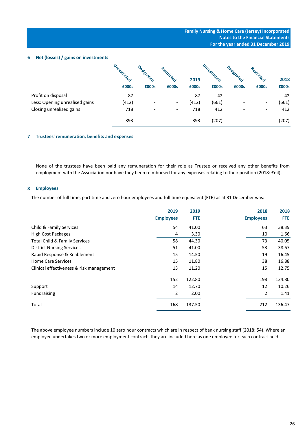**6 Net (losses) / gains on investments**

|                                | Unrestricted | <b>Signa</b> | estricteg                |       | Unrestricted | <b>Signals</b>           | Restricted                   |       |
|--------------------------------|--------------|--------------|--------------------------|-------|--------------|--------------------------|------------------------------|-------|
|                                |              |              |                          | 2019  |              |                          |                              | 2018  |
|                                | £000s        | £000s        | £000s                    | £000s | £000s        | £000s                    | £000s                        | £000s |
| Profit on disposal             | 87           |              | $\overline{\phantom{a}}$ | 87    | 42           | $\qquad \qquad$          | -                            | 42    |
| Less: Opening unrealised gains | (412)        |              | $\overline{\phantom{a}}$ | (412) | (661)        |                          | $\overline{\phantom{a}}$     | (661) |
| Closing unrealised gains       | 718          |              | $\overline{\phantom{a}}$ | 718   | 412          | $\overline{\phantom{a}}$ | $\overline{\phantom{a}}$     | 412   |
|                                | 393          |              | $\overline{\phantom{a}}$ | 393   | (207)        |                          | $\qquad \qquad \blacksquare$ | (207) |

# **7 Trustees' remuneration, benefits and expenses**

None of the trustees have been paid any remuneration for their role as Trustee or received any other benefits from employment with the Association nor have they been reimbursed for any expenses relating to their position (2018: £nil).

# **8 Employees**

The number of full time, part time and zero hour employees and full time equivalent (FTE) as at 31 December was:

|                                          | 2019             | 2019       | 2018             | 2018       |
|------------------------------------------|------------------|------------|------------------|------------|
|                                          | <b>Employees</b> | <b>FTE</b> | <b>Employees</b> | <b>FTE</b> |
| Child & Family Services                  | 54               | 41.00      | 63               | 38.39      |
| <b>High Cost Packages</b>                | 4                | 3.30       | 10               | 1.66       |
| Total Child & Family Services            | 58               | 44.30      | 73               | 40.05      |
| <b>District Nursing Services</b>         | 51               | 41.00      | 53               | 38.67      |
| Rapid Response & Reablement              | 15               | 14.50      | 19               | 16.45      |
| <b>Home Care Services</b>                | 15               | 11.80      | 38               | 16.88      |
| Clinical effectiveness & risk management | 13               | 11.20      | 15               | 12.75      |
|                                          | 152              | 122.80     | 198              | 124.80     |
| Support                                  | 14               | 12.70      | 12               | 10.26      |
| Fundraising                              | 2                | 2.00       | $\overline{2}$   | 1.41       |
| Total                                    | 168              | 137.50     | 212              | 136.47     |
|                                          |                  |            |                  |            |

The above employee numbers include 10 zero hour contracts which are in respect of bank nursing staff (2018: 54). Where an employee undertakes two or more employment contracts they are included here as one employee for each contract held.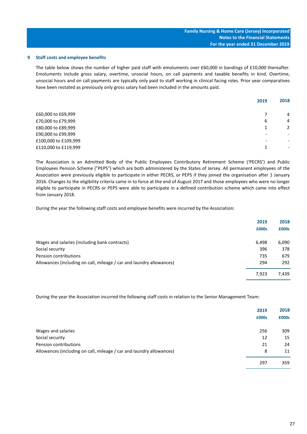#### **9 Staff costs and employee benefits**

The table below shows the number of higher paid staff with emoluments over £60,000 in bandings of £10,000 thereafter. Emoluments include gross salary, overtime, unsocial hours, on call payments and taxable benefits in kind. Overtime, unsocial hours and on call payments are typically only paid to staff working in clinical facing roles. Prior year comparatives have been restated as previously only gross salary had been included in the amounts paid.

|                      | 2019 | 2018                     |
|----------------------|------|--------------------------|
| £60,000 to £69,999   |      | 4                        |
| £70,000 to £79,999   | 6    | $\overline{4}$           |
| £80,000 to £89,999   | 1    | 2                        |
| £90,000 to £99,999   | ٠    | $\overline{\phantom{a}}$ |
| £100,000 to £109,999 | ٠    | $\overline{\phantom{a}}$ |
| £110,000 to £119,999 | 1    | $\overline{\phantom{a}}$ |
|                      |      |                          |

The Association is an Admitted Body of the Public Employees Contributory Retirement Scheme ('PECRS') and Public Employees Pension Scheme ("PEPS") which are both administered by the States of Jersey. All permanent employees of the Association were previously eligible to participate in either PECRS, or PEPS if they joined the organisation after 1 January 2016. Changes to the eligibility criteria came in to force at the end of August 2017 and those employees who were no longer eligible to participate in PECRS or PEPS were able to participate in a defined contribution scheme which came into effect from January 2018.

During the year the following staff costs and employee benefits were incurred by the Association:

|                                                                      | 2019  | 2018  |
|----------------------------------------------------------------------|-------|-------|
|                                                                      | £000s | £000s |
|                                                                      |       |       |
| Wages and salaries (including bank contracts)                        | 6,498 | 6,090 |
| Social security                                                      | 396   | 378   |
| Pension contributions                                                | 735   | 679   |
| Allowances (including on call, mileage / car and laundry allowances) | 294   | 292   |
|                                                                      | 7,923 | 7,439 |

During the year the Association incurred the following staff costs in relation to the Senior Management Team:

|                                                                      | 2019<br>£000s | 2018<br>£000s |
|----------------------------------------------------------------------|---------------|---------------|
| Wages and salaries                                                   | 256           | 309           |
| Social security                                                      | 12            | 15            |
| Pension contributions                                                | 21            | 24            |
| Allowances (including on call, mileage / car and laundry allowances) | 8             | 11            |
|                                                                      | 297           | 359           |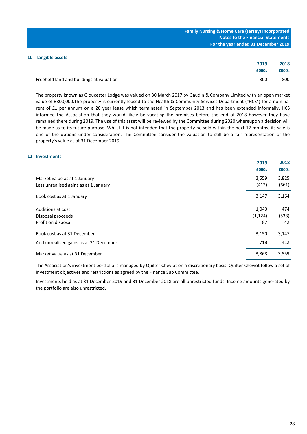| <b>Family Nursing &amp; Home Care (Jersey) Incorporated</b> |
|-------------------------------------------------------------|
| <b>Notes to the Financial Statements</b>                    |
| For the year ended 31 December 2019                         |

# **10 Tangible assets**

|                                          | 2019  | 2018  |
|------------------------------------------|-------|-------|
|                                          | £000s | £000s |
| Freehold land and buildings at valuation | 800   | 800   |

The property known as Gloucester Lodge was valued on 30 March 2017 by Gaudin & Company Limited with an open market value of £800,000.The property is currently leased to the Health & Community Services Department ("HCS") for a nominal rent of £1 per annum on a 20 year lease which terminated in September 2013 and has been extended informally. HCS informed the Association that they would likely be vacating the premises before the end of 2018 however they have remained there during 2019. The use of this asset will be reviewed by the Committee during 2020 whereupon a decision will be made as to its future purpose. Whilst it is not intended that the property be sold within the next 12 months, its sale is one of the options under consideration. The Committee consider the valuation to still be a fair representation of the property's value as at 31 December 2019.

#### **11 Investments**

|                                                                       | 2019<br>£000s           | 2018<br>£000s      |
|-----------------------------------------------------------------------|-------------------------|--------------------|
| Market value as at 1 January<br>Less unrealised gains as at 1 January | 3,559<br>(412)          | 3,825<br>(661)     |
| Book cost as at 1 January                                             | 3,147                   | 3,164              |
| Additions at cost<br>Disposal proceeds<br>Profit on disposal          | 1,040<br>(1, 124)<br>87 | 474<br>(533)<br>42 |
| Book cost as at 31 December                                           | 3,150                   | 3,147              |
| Add unrealised gains as at 31 December                                | 718                     | 412                |
| Market value as at 31 December                                        | 3,868                   | 3,559              |

The Association's investment portfolio is managed by Quilter Cheviot on a discretionary basis. Quilter Cheviot follow a set of investment objectives and restrictions as agreed by the Finance Sub Committee.

Investments held as at 31 December 2019 and 31 December 2018 are all unrestricted funds. Income amounts generated by the portfolio are also unrestricted.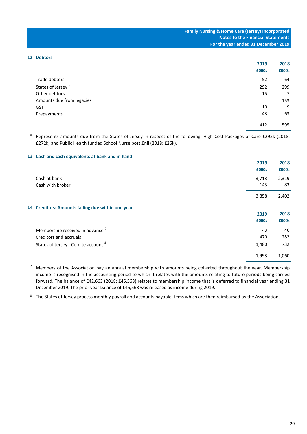#### **12 Debtors**

|                               | 2019                     | 2018  |
|-------------------------------|--------------------------|-------|
|                               | £000s                    | £000s |
| Trade debtors                 | 52                       | 64    |
| States of Jersey <sup>6</sup> | 292                      | 299   |
| Other debtors                 | 15                       | 7     |
| Amounts due from legacies     | $\overline{\phantom{a}}$ | 153   |
| <b>GST</b>                    | 10                       | 9     |
| Prepayments                   | 43                       | 63    |
|                               | 412                      | 595   |

<sup>6</sup> Represents amounts due from the States of Jersey in respect of the following: High Cost Packages of Care £292k (2018: £272k) and Public Health funded School Nurse post £nil (2018: £26k).

# **13 Cash and cash equivalents at bank and in hand**

|                                                   | 2019<br>£000s | 2018<br>£000s |
|---------------------------------------------------|---------------|---------------|
| Cash at bank                                      | 3,713         | 2,319         |
| Cash with broker                                  | 145           | 83            |
|                                                   | 3,858         | 2,402         |
| 14 Creditors: Amounts falling due within one year |               |               |
|                                                   | 2019          | 2018          |
|                                                   | £000s         | £000s         |
| Membership received in advance <sup>7</sup>       | 43            | 46            |
| Creditors and accruals                            | 470           | 282           |
| States of Jersey - Comite account <sup>8</sup>    | 1,480         | 732           |
|                                                   | 1,993         | 1,060         |
|                                                   |               |               |

7 Members of the Association pay an annual membership with amounts being collected throughout the year. Membership income is recognised in the accounting period to which it relates with the amounts relating to future periods being carried forward. The balance of £42,663 (2018: £45,563) relates to membership income that is deferred to financial year ending 31 December 2019. The prior year balance of £45,563 was released as income during 2019.

<sup>8</sup> The States of Jersey process monthly payroll and accounts payable items which are then reimbursed by the Association.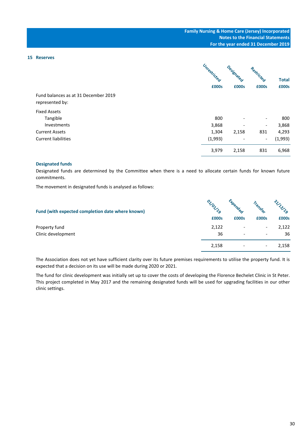# **15 Reserves**

| Fund balances as at 31 December 2019<br>represented by: | Unrestricted<br>£000s | Designated<br>£000s      | Restricted<br>£000s      | <b>Total</b><br>£000s |
|---------------------------------------------------------|-----------------------|--------------------------|--------------------------|-----------------------|
| <b>Fixed Assets</b>                                     |                       |                          |                          |                       |
| Tangible                                                | 800                   |                          |                          | 800                   |
| Investments                                             | 3,868                 | $\overline{\phantom{0}}$ | $\overline{\phantom{a}}$ | 3,868                 |
| <b>Current Assets</b>                                   | 1,304                 | 2,158                    | 831                      | 4,293                 |
| <b>Current liabilities</b>                              | (1,993)               |                          | $-$                      | (1,993)               |
|                                                         | 3,979                 | 2,158                    | 831                      | 6,968                 |

#### **Designated funds**

Designated funds are determined by the Committee when there is a need to allocate certain funds for known future commitments.

The movement in designated funds is analysed as follows:

| Fund (with expected completion date where known) | $Q_{\chi_{\mathscr{L}}}$ |       |                          | $\mathcal{R}_{\mathcal{O}}$ |
|--------------------------------------------------|--------------------------|-------|--------------------------|-----------------------------|
|                                                  | £000s                    | £000s | £000s                    | £000s                       |
| Property fund                                    | 2,122                    |       | ۰                        | 2,122                       |
| Clinic development                               | 36                       |       | $\overline{\phantom{0}}$ | 36                          |
|                                                  | 2,158                    |       | $\overline{\phantom{0}}$ | 2,158                       |

The Association does not yet have sufficient clarity over its future premises requirements to utilise the property fund. It is expected that a decision on its use will be made during 2020 or 2021.

The fund for clinic development was initially set up to cover the costs of developing the Florence Bechelet Clinic in St Peter. This project completed in May 2017 and the remaining designated funds will be used for upgrading facilities in our other clinic settings.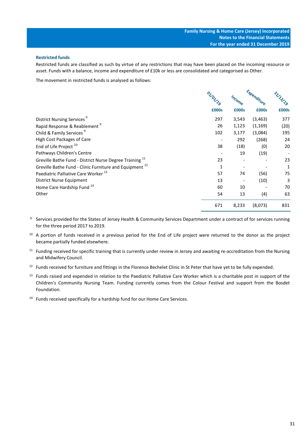# **Restricted funds**

Restricted funds are classified as such by virtue of any restrictions that may have been placed on the incoming resource or asset. Funds with a balance, income and expenditure of £10k or less are consolidated and categorised as Other.

The movement in restricted funds is analysed as follows:

|                                                                    | ON TON 19 | Income | Expenditure | SITILLS |
|--------------------------------------------------------------------|-----------|--------|-------------|---------|
|                                                                    | £000s     | £000s  | £000s       | £000s   |
| District Nursing Services <sup>9</sup>                             | 297       | 3,543  | (3, 463)    | 377     |
| Rapid Response & Reablement <sup>9</sup>                           | 26        | 1,123  | (1, 169)    | (20)    |
| Child & Family Services <sup>9</sup>                               | 102       | 3,177  | (3,084)     | 195     |
| <b>High Cost Packages of Care</b>                                  |           | 292    | (268)       | 24      |
| End of Life Project <sup>10</sup>                                  | 38        | (18)   | (0)         | 20      |
| Pathways Children's Centre                                         |           | 19     | (19)        |         |
| Greville Bathe Fund - District Nurse Degree Training <sup>11</sup> | 23        |        |             | 23      |
| Greville Bathe Fund - Clinic Furniture and Equipment <sup>12</sup> | 1         |        |             | 1       |
| Paediatric Palliative Care Worker <sup>13</sup>                    | 57        | 74     | (56)        | 75      |
| District Nurse Equipment                                           | 13        |        | (10)        | 3       |
| Home Care Hardship Fund 14                                         | 60        | 10     |             | 70      |
| Other                                                              | 54        | 13     | (4)         | 63      |
|                                                                    | 671       | 8,233  | (8,073)     | 831     |

<sup>9</sup> Services provided for the States of Jersey Health & Community Services Department under a contract of for services running for the three period 2017 to 2019.

 $10$  A portion of funds received in a previous period for the End of Life project were returned to the donor as the project became partially funded elsewhere.

- $11$  Funding received for specific training that is currently under review in Jersey and awaiting re-accreditation from the Nursing and Midwifery Council.
- $12$  Funds received for furniture and fittings in the Florence Bechelet Clinic in St Peter that have yet to be fully expended.
- <sup>13</sup> Funds raised and expended in relation to the Paediatric Palliative Care Worker which is a charitable post in support of the Children's Community Nursing Team. Funding currently comes from the Colour Festival and support from the Bosdet Foundation.
- <sup>14</sup> Funds received specifically for a hardship fund for our Home Care Services.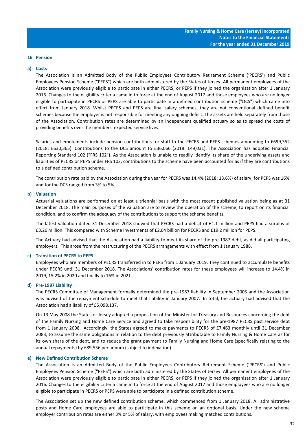#### **16 Pension**

#### **a) Costs**

The Association is an Admitted Body of the Public Employees Contributory Retirement Scheme ('PECRS') and Public Employees Pension Scheme ("PEPS") which are both administered by the States of Jersey. All permanent employees of the Association were previously eligible to participate in either PECRS, or PEPS if they joined the organisation after 1 January 2016. Changes to the eligibility criteria came in to force at the end of August 2017 and those employees who are no longer eligible to participate in PECRS or PEPS are able to participate in a defined contribution scheme ("DCS") which came into effect from January 2018. Whilst PECRS and PEPS are final salary schemes, they are not conventional defined benefit schemes because the employer is not responsible for meeting any ongoing deficit. The assets are held separately from those of the Association. Contribution rates are determined by an independent qualified actuary so as to spread the costs of providing benefits over the members' expected service lives.

Salaries and emoluments include pension contributions for staff to the PECRS and PEPS schemes amounting to £699,352 (2018: £630,365). Contributions to the DCS amount to £36,066 (2018: £49,031). The Association has adopted Financial Reporting Standard 102 ("FRS 102"). As the Association is unable to readily identify its share of the underlying assets and liabilities of PECRS or PEPS under FRS 102, contributions to the scheme have been accounted for as if they are contributions to a defined contribution scheme.

The contribution rate paid by the Association during the year for PECRS was 14.4% (2018: 13.6%) of salary, for PEPS was 16% and for the DCS ranged from 3% to 5%.

#### **b) Valuation**

Actuarial valuations are performed on at least a triennial basis with the most recent published valuation being as at 31 December 2018. The main purposes of the valuation are to review the operation of the scheme, to report on its financial condition, and to confirm the adequacy of the contributions to support the scheme benefits.

The latest valuation dated 31 December 2018 showed that PECRS had a deficit of £1.1 million and PEPS had a surplus of £3.26 million. This compared with Scheme investments of £2.04 billion for PECRS and £19.2 million for PEPS.

The Actuary had advised that the Association had a liability to meet its share of the pre-1987 debt, as did all participating employers. This arose from the restructuring of the PECRS arrangements with effect from 1 January 1988.

#### **c) Transition of PECRS to PEPS**

Employees who are members of PECRS transferred in to PEPS from 1 January 2019. They continued to accumulate benefits under PECRS until 31 December 2018. The Associations' contribution rates for these employees will increase to 14.4% in 2019, 15.2% in 2020 and finally to 16% in 2021.

#### **d) Pre-1987 Liability**

The PECRS Committee of Management formally determined the pre-1987 liability in September 2005 and the Association was advised of the repayment schedule to meet that liability in January 2007. In total, the actuary had advised that the Association had a liability of £5,098,137.

On 13 May 2008 the States of Jersey adopted a proposition of the Minister for Treasury and Resources concerning the debt of the Family Nursing and Home Care Service and agreed to take responsibility for the pre-1987 PECRS past service debt from 1 January 2008. Accordingly, the States agreed to make payments to PECRS of £7,463 monthly until 31 December 2083, to assume the same obligations in relation to the debt previously attributable to Family Nursing & Home Care as for its own share of the debt, and to reduce the grant payment to Family Nursing and Home Care (specifically relating to the annual repayments) by £89,556 per annum (subject to indexation).

#### **e) New Defined Contribution Scheme**

The Association is an Admitted Body of the Public Employees Contributory Retirement Scheme ('PECRS') and Public Employees Pension Scheme ("PEPS") which are both administered by the States of Jersey. All permanent employees of the Association were previously eligible to participate in either PECRS, or PEPS if they joined the organisation after 1 January 2016. Changes to the eligibility criteria came in to force at the end of August 2017 and those employees who are no longer eligible to participate in PECRS or PEPS were able to participate in a defined contribution scheme.

The Association set up the new defined contribution scheme, which commenced from 1 January 2018. All administrative posts and Home Care employees are able to participate in this scheme on an optional basis. Under the new scheme employer contribution rates are either 3% or 5% of salary, with employees making matched contributions.